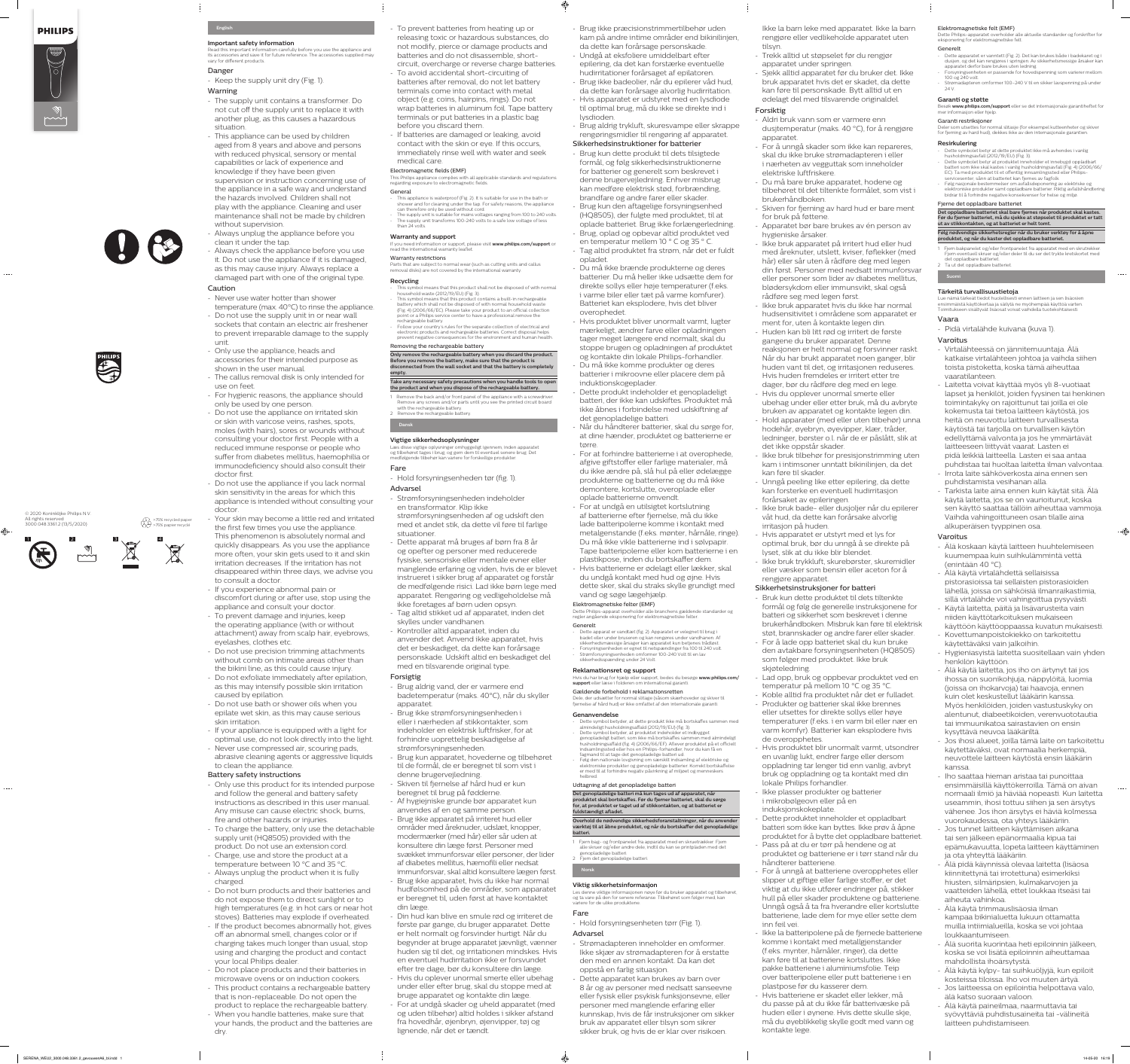







- To prevent batteries from heating up or releasing toxic or hazardous substances, do not modify, pierce or damage products and batteries and do not disassemble, shortcircuit, overcharge or reverse charge batteries.
- To avoid accidental short-circuiting of batteries after removal, do not let battery terminals come into contact with metal object (e.g. coins, hairpins, rings). Do not wrap batteries in aluminum foil. Tape battery terminals or put batteries in a plastic bag before you discard them.

This appliance is waterproof (Fig. 2). It is suitable for use in the bath or shower and for cleaning under the tap. For safety reasons, the appliance can therefore only be used without cord. The supply unit is suitable for mains voltages ranging from 100 to 240 volts. The supply unit transforms 100-240 volts to a safe low voltage of less than 24 volts.

- If batteries are damaged or leaking, avoid contact with the skin or eye. If this occurs, immediately rinse well with water and seek medical care.

#### Electromagnetic fields (EMF)

- household waste (2012/19/EU) (Fig. 3). - This symbol means that this product contains a built-in rechargeable battery which shall not be disposed of with normal household waste (Fig. 4) (2006/66/EC). Please take your product to an official collection point or a Philips service center to have a professional remove the rechargeable battery - Follow your country's rules for the separate collection of electrical and
- electronic products and rechargeable batteries. Correct disposal helps prevent negative consequences for the environment and human health.

This Philips appliance complies with all applicable standards and regulations regarding exposure to electromagnetic fields. General

**the product and when you dispose of the rechargeable battery.** 1 Remove the back and/or front panel of the appliance with a screwdriver. Remove any screws and/or parts until you see the printed circuit board with the rechargeable battery. 2 Remove the rechargeable battery

### **Warranty and support**

If you need information or support, please visit **www.philips.com/support** or read the international warranty leaflet. Warranty restrictions

Parts that are subject to normal wear (such as cutting units and callus

#### removal disks) are not covered by the international warranty. **Recycling**

#### - This symbol means that this product shall not be disposed of with normal

#### Removing the rechargeable battery **Only remove the rechargeable battery when you discard the product. Before you remove the battery, make sure that the product is**

**disconnected from the wall socket and that the battery is completely empty. Take any necessary safety precautions when you handle tools to open** 

**Dansk**

### **Vigtige sikkerhedsoplysninger**

Læs disse vigtige oplysninger omhyggeligt igennem, inden apparatet og tilbehøret tages i brug, og gem dem til eventuel senere brug. Det medfølgende tilbehør kan variere for forskellige produkter.

### Fare

- Hold forsyningsenheden tør (fig. 1). Advarsel

- Strømforsyningsenheden indeholder en transformator. Klip ikke strømforsyningsenheden af og udskift den med et andet stik, da dette vil føre til farlige situationer.
- Dette apparat må bruges af børn fra 8 år og opefter og personer med reducerede fysiske, sensoriske eller mentale evner eller manglende erfaring og viden, hvis de er blevet instrueret i sikker brug af apparatet og forstår de medfølgende risici. Lad ikke børn lege med apparatet. Rengøring og vedligeholdelse må ikke foretages af børn uden opsyn.
- Tag altid stikket ud af apparatet, inden det skylles under vandhanen.
- Kontroller altid apparatet, inden du anvender det. Anvend ikke apparatet, hvis det er beskadiget, da dette kan forårsage personskade. Udskift altid en beskadiget del med en tilsvarende original type.

### Forsigtig

- Brug aldrig vand, der er varmere end badetemperatur (maks. 40°C), når du skyller apparatet.
- Brug ikke strømforsyningsenheden i eller i nærheden af stikkontakter, som indeholder en elektrisk luftfrisker, for at forhindre uoprettelig beskadigelse af strømforsyningsenheden.
- Brug kun apparatet, hovederne og tilbehøret til de formål, de er beregnet til som vist i denne brugervejledning.
- Skiven til fjernelse af hård hud er kun beregnet til brug på fødderne.
- Af hygiejniske grunde bør apparatet kun anvendes af en og samme person.
- Brug ikke apparatet på irriteret hud eller områder med åreknuder, udslæt, knopper, modermærker (med hår) eller sår uden at konsultere din læge først. Personer med svækket immunforsvar eller personer, der lider af diabetes mellitus, hæmofili eller nedsat immunforsvar, skal altid konsultere lægen først.
- Brug ikke apparatet, hvis du ikke har normal hudfølsomhed på de områder, som apparatet er beregnet til, uden først at have kontaktet din læge.
- Din hud kan blive en smule rød og irriteret de første par gange, du bruger apparatet. Dette er helt normalt og forsvinder hurtigt. Når du begynder at bruge apparatet jævnligt, vænner huden sig til det, og irritationen mindskes. Hvis en eventuel hudirritation ikke er forsvundet efter tre dage, bør du konsultere din læge. - Hvis du oplever unormal smerte eller ubehag under eller efter brug, skal du stoppe med at bruge apparatet og kontakte din læge. - For at undgå skader og uheld apparatet (med og uden tilbehør) altid holdes i sikker afstand fra hovedhår, øjenbryn, øjenvipper, tøj og lignende, når det er tændt.
- Brug ikke præcisionstrimmertilbehør uden kam på andre intime områder end bikinilinjen, da dette kan forårsage personskade.
- Undgå at eksfoliere umiddelbart efter epilering, da det kan forstærke eventuelle hudirritationer forårsaget af epilatoren. - Brug ikke badeolier, når du epilerer våd hud, da dette kan forårsage alvorlig hudirritation.
- Hvis apparatet er udstyret med en lysdiode til optimal brug, må du ikke se direkte ind i lysdioden.
- Brug aldrig trykluft, skuresvampe eller skrappe rengøringsmidler til rengøring af apparatet. Sikkerhedsinstruktioner for batterier
- Brug kun dette produkt til dets tilsigtede formål, og følg sikkerhedsinstruktionerne for batterier og generelt som beskrevet i denne brugervejledning. Enhver misbrug kan medføre elektrisk stød, forbrænding, brandfare og andre farer eller skader. - Brug kun den aftagelige forsyningsenhed (HQ8505), der fulgte med produktet, til at oplade batteriet. Brug ikke forlængerledning.
- Brug, oplad og opbevar altid produktet ved en temperatur mellem 10 ° C og 35 ° C. - Tag altid produktet fra strøm, når det er fuldt
- opladet. - Du må ikke brænde produkterne og deres batterier. Du må heller ikke udsætte dem for direkte sollys eller høje temperaturer (f.eks. i varme biler eller tæt på varme komfurer). Batteriet kan eksplodere, hvis det bliver overophedet.
- Hvis produktet bliver unormalt varmt, lugter mærkeligt, ændrer farve eller opladningen tager meget længere end normalt, skal du stoppe brugen og opladningen af produktet
- og kontakte din lokale Philips-forhandler. - Du må ikke komme produkter og deres batterier i mikroovne eller placere dem på induktionskogeplader.
- Dette produkt indeholder et genopladeligt batteri, der ikke kan udskiftes. Produktet må ikke åbnes i forbindelse med udskiftning af det genopladelige batteri.
- Når du håndterer batterier, skal du sørge for, at dine hænder, produktet og batterierne er tørre.
- For at forhindre batterierne i at overophede, afgive giftstoffer eller farlige materialer, må du ikke ændre på, slå hul på eller ødelægge produkterne og batterierne og du må ikke demontere, kortslutte, overoplade eller oplade batterierne omvendt.
- For at undgå en utilsigtet kortslutning af batterierne efter fjernelse, må du ikke lade batteripolerne komme i kontakt med metalgenstande (f.eks. mønter, hårnåle, ringe). Du må ikke vikle batterierne ind i sølvpapir. Tape batteripolerne eller kom batterierne i en plastikpose, inden du bortskaffer dem.
- Hvis batterierne er ødelagt eller lækker, skal du undgå kontakt med hud og øjne. Hvis dette sker, skal du straks skylle grundigt med vand og søge lægehjælp.

## Elektromagnetiske felter (EMF)

Dette Philips-apparat overholder alle branchens gældende standarder og regler angående eksponering for elektromagnetiske felter. Generelt

- Dette apparat er vandtæt (fig. 2). Apparatet er velegnet til brug i
- badet eller under bruseren og kan rengøres under vandhanen. Af sikkerhedsmæssige årsager kan apparatet kun betjenes trådløst. - Forsyningsenheden er egnet til netspændinger fra 100 til 240 volt.
- Strømforsyningsenheden omformer 100-240 Volt til en lav sikkerhedsspænding under 24 Volt.

## **Reklamationsret og support**

Hvis du har brug for hjælp eller support, bedes du besøge **www.philips.com/ support** eller læse i folderen om international garanti.

Gældende forbehold i reklamationsretten Dele, der udsætter for normal slitage (såsom skærhoveder og skiver til fjernelse af hård hud) er ikke omfattet af den internationale garanti.

## **Genanvendelse**

- Dette symbol betyder, at dette produkt ikke må bortskaffes sammen med almindeligt husholdningsaffald (2012/19/EU) (fig. 3). Dette symbol betyder, at produktet indeholder et indbygge genopladeligt batteri, som ikke må bortskaffes sammen med almindeligt
- husholdningsaffald (fig. 4) (2006/66/EF). Aflever produktet på et officielt indsamlingssted eller hos en Philips-forhandler, hvor du kan få en fagmand til at tage det genopladelige batteri ud. - Følg den nationale lovgivning om særskilt indsamling af elektriske og
- elektroniske produkter og genopladelige batterier. Korrekt bortskaffelse er med til at forhindre negativ påvirkning af miljøet og menneskers helbred.

## Udtagning af det genopladelige batteri

**Det genopladelige batteri må kun tages ud af apparatet, når produktet skal bortskaffes. Før du fjerner batteriet, skal du sørge for, at produktet er taget ud af stikkontakten, og at batteriet er fuldstændigt afladet.**

#### **Overhold de nødvendige sikkerhedsforanstaltninger, når du anvender værktøj til at åbne produktet, og når du bortskaffer det genopladelige batteri.**

- 1 Fjern bag- og frontpanelet fra apparatet med en skruetrækker. Fjern alle skruer og/eller andre dele, indtil du kan se printpladen med det genopladelige batteri.
- 2 Fjern det genopladelige batteri **Norsk**

# **Viktig sikkerhetsinformasjon**

Les denne viktige informasjonen nøye før du bruker apparatet og tilbehøret, og ta vare på den for senere referanse. Tilbehøret som følger med, kan variere for de ulike produktene.

## Fare

- Hold forsyningsenheten tørr (Fig. 1).

## Advarsel

- Strømadapteren inneholder en omformer. Ikke skjær av strømadapteren for å erstatte den med en annen kontakt. Da kan det oppstå en farlig situasjon.
- Dette apparatet kan brukes av barn over 8 år og av personer med nedsatt sanseevne eller fysisk eller psykisk funksjonsevne, eller personer med manglende erfaring eller kunnskap, hvis de får instruksjoner om sikker bruk av apparatet eller tilsyn som sikrer sikker bruk, og hvis de er klar over risikoen.

Ikke la barn leke med apparatet. Ikke la barn rengjøre eller vedlikeholde apparatet uten tilsyn.

- Trekk alltid ut støpselet før du rengjør
- apparatet under springen. - Sjekk alltid apparatet før du bruker det. Ikke bruk apparatet hvis det er skadet, da dette kan føre til personskade. Bytt alltid ut en ødelagt del med tilsvarende originaldel.

### Forsiktig

- Aldri bruk vann som er varmere enn dusjtemperatur (maks. 40 °C), for å rengjøre apparatet.
- For å unngå skader som ikke kan repareres, skal du ikke bruke strømadapteren i eller i nærheten av vegguttak som inneholder elektriske luftfriskere.
- Du må bare bruke apparatet, hodene og tilbehøret til det tiltenkte formålet, som vist i brukerhåndboken.
- Skiven for fjerning av hard hud er bare ment for bruk på føttene. - Apparatet bør bare brukes av én person av
- hygieniske årsaker. - Ikke bruk apparatet på irritert hud eller hud
- med åreknuter, utslett, kviser, føflekker (med hår) eller sår uten å rådføre deg med legen din først. Personer med nedsatt immunforsvar eller personer som lider av diabetes mellitus, blødersykdom eller immunsvikt, skal også rådføre seg med legen først.
- Ikke bruk apparatet hvis du ikke har normal hudsensitivitet i områdene som apparatet er ment for, uten å kontakte legen din.
- Huden kan bli litt rød og irritert de første gangene du bruker apparatet. Denne reaksjonen er helt normal og forsvinner raskt. Når du har brukt apparatet noen ganger, blir huden vant til det, og irritasjonen reduseres. Hvis huden fremdeles er irritert etter tre dager, bør du rådføre deg med en lege. - Hvis du opplever unormal smerte eller ubehag under eller etter bruk, må du avbryte bruken av apparatet og kontakte legen din. - Hold apparater (med eller uten tilbehør) unna hodehår, øyebryn, øyevipper, klær, tråder,
- ledninger, børster o.l. når de er påslått, slik at det ikke oppstår skader.
- Ikke bruk tilbehør for presisjonstrimming uten kam i intimsoner unntatt bikinilinjen, da det kan føre til skader.
- Unngå peeling like etter epilering, da dette kan forsterke en eventuell hudirritasjon forårsaket av epileringen.

- Ikke bruk bade- eller dusjoljer når du epilerer våt hud, da dette kan forårsake alvorlig irritasjon på huden.

- Hvis apparatet er utstyrt med et lys for optimal bruk, bør du unngå å se direkte på lyset, slik at du ikke blir blendet. - Ikke bruk trykkluft, skurebørster, skuremidler eller væsker som bensin eller aceton for å rengjøre apparatet.

### Sikkerhetsinstruksjoner for batteri

- Bruk kun dette produktet til dets tiltenkte formål og følg de generelle instruksjonene for batteri og sikkerhet som beskrevet i denne brukerhåndboken. Misbruk kan føre til elektrisk støt, brannskader og andre farer eller skader.
- For å lade opp batteriet skal du kun bruke den avtakbare forsyningsenheten (HQ8505) som følger med produktet. Ikke bruk skjøteledning.

- Lad opp, bruk og oppbevar produktet ved en temperatur på mellom 10 °C og 35 °C.

- Koble alltid fra produktet når det er fulladet. - Produkter og batterier skal ikke brennes eller utsettes for direkte sollys eller høye temperaturer (f.eks. i en varm bil eller nær en varm komfyr). Batterier kan eksplodere hvis de overopphetes.
- Hvis produktet blir unormalt varmt, utsondrer en uvanlig lukt, endrer farge eller dersom oppladning tar lenger tid enn vanlig, avbryt bruk og oppladning og ta kontakt med din lokale Philips forhandler.
- Ikke plasser produkter og batterier i mikrobølgeovn eller på en induksjonskokeplate.

- Dette produktet inneholder et oppladbart batteri som ikke kan byttes. Ikke prøv å åpne produktet for å bytte det oppladbare batteriet. - Pass på at du er tørr på hendene og at

produktet og batteriene er i tørr stand når du håndterer batteriene. - For å unngå at batteriene overopphetes eller slipper ut giftige eller farlige stoffer, er det viktig at du ikke utfører endringer på, stikker hull på eller skader produktene og batteriene. Unngå også å ta fra hverandre eller kortslutte batteriene, lade dem for mye eller sette dem inn feil vei.

- Ikke la batteripolene på de fjernede batteriene komme i kontakt med metallgjenstander (f.eks. mynter, hårnåler, ringer), da dette kan føre til at batteriene kortsluttes. Ikke pakke batteriene i aluminiumsfolie. Teip over batteripolene eller putt batteriene i en plastpose før du kasserer dem.

- Hvis batteriene er skadet eller lekker, må du passe på at du ikke får batterivæske på huden eller i øynene. Hvis dette skulle skje, må du øyeblikkelig skylle godt med vann og kontakte lege.

## Elektromagnetiske felt (EMF)

- Dette Philips-apparatet overholder alle aktuelle standarder og forskrifter for eksponering for elektromagnetiske felt. Generelt
- Dette apparatet er vanntett (Fig. 2). Det kan brukes både i badekaret og i dusjen, og det kan rengjøres i springen. Av sikkerhetsmessige årsaker kan apparatet derfor bare brukes uten ledning.
- Forsyningsenheten er passende for hovedspenning som varierer mellom 100 og 240 volt. - Strømadapteren omformer 100–240 V til en sikker lavspenning på under 24 V.

### **Garanti og støtte**

#### Besøk **www.philips.com/support** eller se det internasjonale garantiheftet for mer informasjon eller hjelp.

Garanti restriksjoner Deler som utsettes for normal slitasje (for eksempel kutteenheter og skiver for fjerning av hard hud), dekkes ikke av den internasjonale garantien.

### **Resirkulering**

- Dette symbolet betyr at dette produktet ikke må avhendes i vanlig husholdningsavfall (2012/19/EU) (Fig. 3). - Dette symbolet betyr at produktet inneholder et innebygd oppladbart batteri som ikke skal kastes i vanlig husholdningsavfall (Fig. 4) (2006/66/
- EC). Ta med produktet til et offentlig innsamlingssted eller Philipsservicesenter, sånn at batteriet kan fjernes av fagfolk. - Følg nasjonale bestemmelser om avfallsdeponering av elektriske og
- elektroniske produkter samt oppladbare batterier. Riktig avfallshåndtering bidrar til å forhindre negative konsekvenser for helse og miljø.

#### Fjerne det oppladbare batteriet **Det oppladbare batteriet skal bare fjernes når produktet skal kastes. Før du fjerner batteriet, må du sjekke at støpselet til produktet er tatt ut av stikkontakten, og at batteriet er helt tomt.**

- **Følg nødvendige sikkerhetsregler når du bruker verktøy for å åpne produktet, og når du kaster det oppladbare batteriet.**
- 1 Fjern bakpanelet og/eller frontpanelet fra apparatet med en skrutrekker. Fjern eventuell skruer og/eller deler til du ser det trykte kretskortet med det oppladbare batteriet. 2 Ta ut det oppladbare batteriet
- **Suomi**

#### **Tärkeitä turvallisuustietoja** Lue nämä tärkeät tiedot huolellisesti ennen laitteen ja sen lisäosien

ensimmäistä käyttökertaa ja säilytä ne myöhempää käyttöä varten. Toimitukseen sisältyvät lisäosat voivat vaihdella tuotekohtaisesti. Vaara

## - Pidä virtalähde kuivana (kuva 1).

- Varoitus
- Virtalähteessä on jännitemuuntaja. Älä katkaise virtalähteen johtoa ja vaihda siihen toista pistoketta, koska tämä aiheuttaa vaaratilanteen.
- Laitetta voivat käyttää myös yli 8-vuotiaat lapset ja henkilöt, joiden fyysinen tai henkinen toimintakyky on rajoittunut tai joilla ei ole kokemusta tai tietoa laitteen käytöstä, jos heitä on neuvottu laitteen turvallisesta käytöstä tai tarjolla on turvallisen käytön edellyttämä valvonta ja jos he ymmärtävät laitteeseen liittyvät vaarat. Lasten ei pidä leikkiä laitteella. Lasten ei saa antaa puhdistaa tai huoltaa laitetta ilman valvontaa.
- Irrota laite sähköverkosta aina ennen sen puhdistamista vesihanan alla.
- Tarkista laite aina ennen kuin käytät sitä. Älä käytä laitetta, jos se on vaurioitunut, koska sen käyttö saattaa tällöin aiheuttaa vammoja. Vaihda vahingoittuneen osan tilalle aina alkuperäisen tyyppinen osa.

### Varoitus

- Älä koskaan käytä laitteen huuhtelemiseen kuumempaa kuin suihkulämmintä vettä (enintään 40 °C).
- Älä käytä virtalähdettä sellaisissa pistorasioissa tai sellaisten pistorasioiden lähellä, joissa on sähköisiä ilmanraikastimia, sillä virtalähde voi vahingoittua pysyvästi. - Käytä laitetta, päitä ja lisävarusteita vain
- niiden käyttötarkoituksen mukaiseen käyttöön käyttöoppaassa kuvatun mukaisesti. - Kovettumanpoistokiekko on tarkoitettu
- käytettäväksi vain jalkoihin. - Hygieniasyistä laitetta suositellaan vain yhden henkilön käyttöön.
- Älä käytä laitetta, jos iho on ärtynyt tai jos ihossa on suonikohjuja, näppylöitä, luomia (joissa on ihokarvoja) tai haavoja, ennen kuin olet keskustellut lääkärin kanssa. Myös henkilöiden, joiden vastustuskyky on alentunut, diabeetikoiden, verenvuototautia tai immuunikatoa sairastavien on ensin kysyttävä neuvoa lääkäriltä.
- Jos ihosi alueet, joilla tämä laite on tarkoitettu käytettäväksi, ovat normaalia herkempiä, neuvottele laitteen käytöstä ensin lääkärin kanssa.
- Iho saattaa hieman aristaa tai punoittaa ensimmäisillä käyttökerroilla. Tämä on aivan normaali ilmiö ja häviää nopeasti. Kun laitetta useammin, ihosi tottuu siihen ja sen ärsytys vähenee. Jos ihon ärsytys ei häviä kolmessa
- vuorokaudessa, ota yhteys lääkäriin. - Jos tunnet laitteen käyttämisen aikana tai sen jälkeen epänormaalia kipua tai epämukavuutta, lopeta laitteen käyttäminen ja ota yhteyttä lääkäriin.

- Älä pidä käynnissä olevaa laitetta (lisäosa kiinnitettynä tai irrotettuna) esimerkiksi hiusten, silmäripsien, kulmakarvojen ja vaatteiden lähellä, ettet loukkaa itseäsi tai aiheuta vahinkoa.

- Älä käytä trimmauslisäosia ilman kampaa bikinialuetta lukuun ottamatta muilla intiimialueilla, koska se voi johtaa loukkaantumiseen. - Älä suorita kuorintaa heti epiloinnin jälkeen,

koska se voi lisätä epiloinnin aiheuttamaa

mahdollista ihoärsytystä.

- Älä käytä kylpy- tai suihkuöljyjä, kun epiloit kosteissa tiloissa. Iho voi muuten ärtyä. - Jos laitteessa on epilointia helpottava valo,

älä katso suoraan valoon.

- Älä käytä paineilmaa, naarmuttavia tai syövyttäviä puhdistusaineita tai -välineitä

laitteen puhdistamiseen.



## **English**

#### **Important safety information**

Read this important information carefully before you use the appliance and its accessories and save it for future reference. The accessories supplied may vary for different products.

#### Danger

- Keep the supply unit dry (Fig. 1).

### Warning

- The supply unit contains a transformer. Do not cut off the supply unit to replace it with another plug, as this causes a hazardous situation.

- This appliance can be used by children aged from 8 years and above and persons with reduced physical, sensory or mental capabilities or lack of experience and knowledge if they have been given

supervision or instruction concerning use of the appliance in a safe way and understand the hazards involved. Children shall not play with the appliance. Cleaning and user maintenance shall not be made by children without supervision.

- Always unplug the appliance before you clean it under the tap. - Always check the appliance before you use it. Do not use the appliance if it is damaged, as this may cause injury. Always replace a damaged part with one of the original type. Caution
- Never use water hotter than shower
- temperature (max. 40°C) to rinse the appliance. - Do not use the supply unit in or near wall sockets that contain an electric air freshener to prevent irreparable damage to the supply unit.
- Only use the appliance, heads and accessories for their intended purpose as shown in the user manual.
- The callus removal disk is only intended for use on feet.
- For hygienic reasons, the appliance should only be used by one person.

- Do not use the appliance on irritated skin or skin with varicose veins, rashes, spots, moles (with hairs), sores or wounds without consulting your doctor first. People with a reduced immune response or people who suffer from diabetes mellitus, haemophilia or immunodeficiency should also consult their doctor first.

- Do not use the appliance if you lack normal skin sensitivity in the areas for which this appliance is intended without consulting your doctor.

- Your skin may become a little red and irritated the first few times you use the appliance. This phenomenon is absolutely normal and quickly disappears. As you use the appliance more often, your skin gets used to it and skin irritation decreases. If the irritation has not disappeared within three days, we advise you to consult a doctor.
- If you experience abnormal pain or discomfort during or after use, stop using the appliance and consult your doctor.
- To prevent damage and injuries, keep the operating appliance (with or without attachment) away from scalp hair, eyebrows, eyelashes, clothes etc. - Do not use precision trimming attachments without comb on intimate areas other than

the bikini line, as this could cause injury. - Do not exfoliate immediately after epilation, as this may intensify possible skin irritation caused by epilation.

- Do not use bath or shower oils when you epilate wet skin, as this may cause serious skin irritation.

- If your appliance is equipped with a light for optimal use, do not look directly into the light. - Never use compressed air, scouring pads, abrasive cleaning agents or aggressive liquids to clean the appliance.
- Battery safety instructions
- Only use this product for its intended purpose and follow the general and battery safety instructions as described in this user manual. Any misuse can cause electric shock, burns, fire and other hazards or injuries.
- To charge the battery, only use the detachable supply unit (HQ8505) provided with the product. Do not use an extension cord.
- Charge, use and store the product at a temperature between 10 °C and 35 °C. - Always unplug the product when it is fully charged.

- Do not burn products and their batteries and do not expose them to direct sunlight or to high temperatures (e.g. in hot cars or near hot stoves). Batteries may explode if overheated.

- If the product becomes abnormally hot, gives off an abnormal smell, changes color or if charging takes much longer than usual, stop using and charging the product and contact your local Philips dealer.
- Do not place products and their batteries in microwave ovens or on induction cookers. - This product contains a rechargeable battery that is non-replaceable. Do not open the product to replace the rechargeable battery.
- When you handle batteries, make sure that your hands, the product and the batteries are dry.